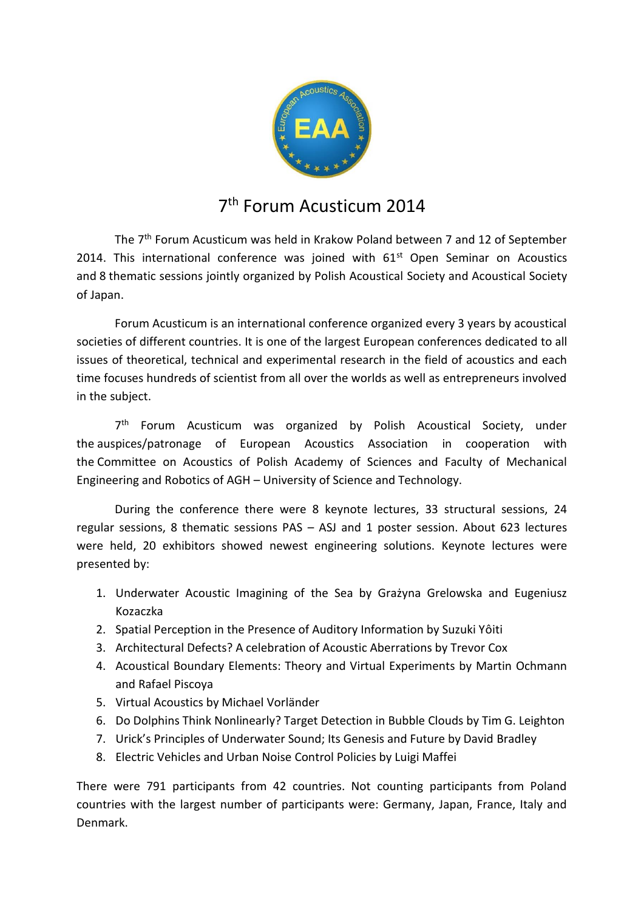

## 7 th Forum Acusticum 2014

The 7<sup>th</sup> Forum Acusticum was held in Krakow Poland between 7 and 12 of September 2014. This international conference was joined with  $61<sup>st</sup>$  Open Seminar on Acoustics and 8 thematic sessions jointly organized by Polish Acoustical Society and Acoustical Society of Japan.

Forum Acusticum is an international conference organized every 3 years by acoustical societies of different countries. It is one of the largest European conferences dedicated to all issues of theoretical, technical and experimental research in the field of acoustics and each time focuses hundreds of scientist from all over the worlds as well as entrepreneurs involved in the subject.

7<sup>th</sup> Forum Acusticum was organized by Polish Acoustical Society, under the auspices/patronage of European Acoustics Association in cooperation with the Committee on Acoustics of Polish Academy of Sciences and Faculty of Mechanical Engineering and Robotics of AGH – University of Science and Technology.

During the conference there were 8 keynote lectures, 33 structural sessions, 24 regular sessions, 8 thematic sessions PAS – ASJ and 1 poster session. About 623 lectures were held, 20 exhibitors showed newest engineering solutions. Keynote lectures were presented by:

- 1. Underwater Acoustic Imagining of the Sea by Grażyna Grelowska and Eugeniusz Kozaczka
- 2. Spatial Perception in the Presence of Auditory Information by Suzuki Yôiti
- 3. Architectural Defects? A celebration of Acoustic Aberrations by Trevor Cox
- 4. Acoustical Boundary Elements: Theory and Virtual Experiments by Martin Ochmann and Rafael Piscoya
- 5. Virtual Acoustics by Michael Vorländer
- 6. Do Dolphins Think Nonlinearly? Target Detection in Bubble Clouds by Tim G. Leighton
- 7. Urick's Principles of Underwater Sound; Its Genesis and Future by David Bradley
- 8. Electric Vehicles and Urban Noise Control Policies by Luigi Maffei

There were 791 participants from 42 countries. Not counting participants from Poland countries with the largest number of participants were: Germany, Japan, France, Italy and Denmark.